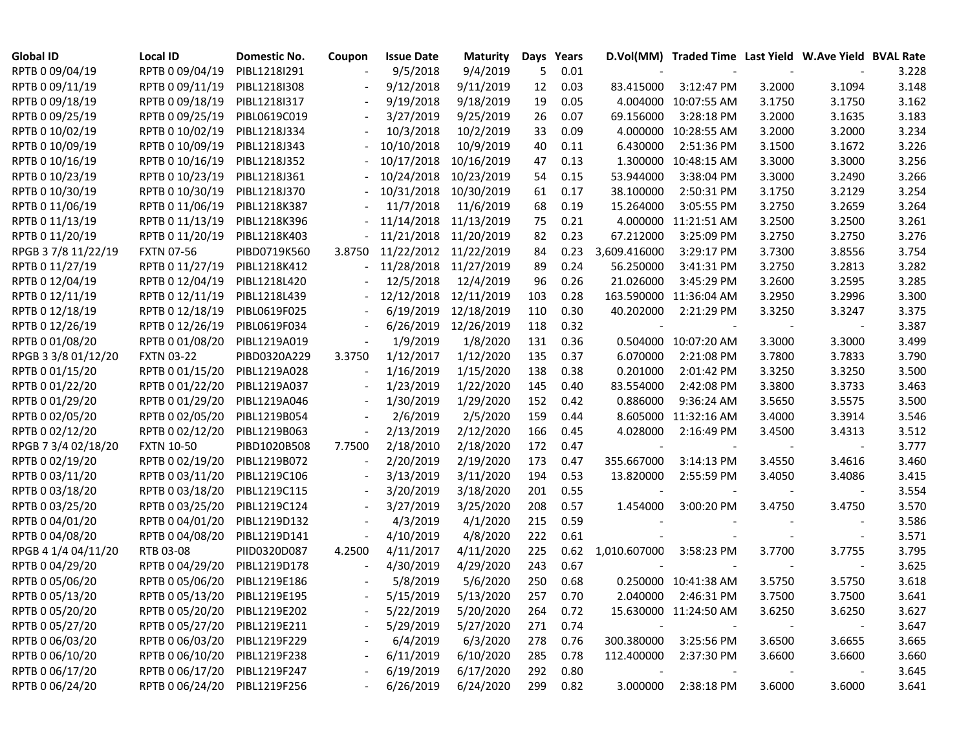| <b>Global ID</b>    | <b>Local ID</b>              | Domestic No. | Coupon                   | <b>Issue Date</b> | <b>Maturity</b> | Days | Years    |              | D.Vol(MM) Traded Time Last Yield W.Ave Yield BVAL Rate |        |        |       |
|---------------------|------------------------------|--------------|--------------------------|-------------------|-----------------|------|----------|--------------|--------------------------------------------------------|--------|--------|-------|
| RPTB 0 09/04/19     | RPTB 0 09/04/19              | PIBL1218I291 |                          | 9/5/2018          | 9/4/2019        | 5    | 0.01     |              |                                                        |        |        | 3.228 |
| RPTB 0 09/11/19     | RPTB 0 09/11/19              | PIBL1218I308 |                          | 9/12/2018         | 9/11/2019       | 12   | 0.03     | 83.415000    | 3:12:47 PM                                             | 3.2000 | 3.1094 | 3.148 |
| RPTB 0 09/18/19     | RPTB 0 09/18/19              | PIBL1218I317 |                          | 9/19/2018         | 9/18/2019       | 19   | 0.05     |              | 4.004000 10:07:55 AM                                   | 3.1750 | 3.1750 | 3.162 |
| RPTB 0 09/25/19     | RPTB 0 09/25/19              | PIBL0619C019 |                          | 3/27/2019         | 9/25/2019       | 26   | 0.07     | 69.156000    | 3:28:18 PM                                             | 3.2000 | 3.1635 | 3.183 |
| RPTB 0 10/02/19     | RPTB 0 10/02/19              | PIBL1218J334 |                          | 10/3/2018         | 10/2/2019       | 33   | 0.09     |              | 4.000000 10:28:55 AM                                   | 3.2000 | 3.2000 | 3.234 |
| RPTB 0 10/09/19     | RPTB 0 10/09/19              | PIBL1218J343 |                          | 10/10/2018        | 10/9/2019       | 40   | 0.11     | 6.430000     | 2:51:36 PM                                             | 3.1500 | 3.1672 | 3.226 |
| RPTB 0 10/16/19     | RPTB 0 10/16/19              | PIBL1218J352 |                          | 10/17/2018        | 10/16/2019      | 47   | 0.13     |              | 1.300000 10:48:15 AM                                   | 3.3000 | 3.3000 | 3.256 |
| RPTB 0 10/23/19     | RPTB 0 10/23/19              | PIBL1218J361 |                          | 10/24/2018        | 10/23/2019      | 54   | 0.15     | 53.944000    | 3:38:04 PM                                             | 3.3000 | 3.2490 | 3.266 |
| RPTB 0 10/30/19     | RPTB 0 10/30/19              | PIBL1218J370 |                          | 10/31/2018        | 10/30/2019      | 61   | 0.17     | 38.100000    | 2:50:31 PM                                             | 3.1750 | 3.2129 | 3.254 |
| RPTB 0 11/06/19     | RPTB 0 11/06/19              | PIBL1218K387 |                          | 11/7/2018         | 11/6/2019       | 68   | 0.19     | 15.264000    | 3:05:55 PM                                             | 3.2750 | 3.2659 | 3.264 |
| RPTB 0 11/13/19     | RPTB 0 11/13/19              | PIBL1218K396 |                          | 11/14/2018        | 11/13/2019      | 75   | 0.21     |              | 4.000000 11:21:51 AM                                   | 3.2500 | 3.2500 | 3.261 |
| RPTB 0 11/20/19     | RPTB 0 11/20/19              | PIBL1218K403 |                          | 11/21/2018        | 11/20/2019      | 82   | 0.23     | 67.212000    | 3:25:09 PM                                             | 3.2750 | 3.2750 | 3.276 |
| RPGB 37/8 11/22/19  | <b>FXTN 07-56</b>            | PIBD0719K560 | 3.8750                   | 11/22/2012        | 11/22/2019      | 84   | 0.23     | 3,609.416000 | 3:29:17 PM                                             | 3.7300 | 3.8556 | 3.754 |
| RPTB 0 11/27/19     | RPTB 0 11/27/19              | PIBL1218K412 |                          | 11/28/2018        | 11/27/2019      | 89   | 0.24     | 56.250000    | 3:41:31 PM                                             | 3.2750 | 3.2813 | 3.282 |
| RPTB 0 12/04/19     | RPTB 0 12/04/19              | PIBL1218L420 |                          | 12/5/2018         | 12/4/2019       | 96   | 0.26     | 21.026000    | 3:45:29 PM                                             | 3.2600 | 3.2595 | 3.285 |
| RPTB 0 12/11/19     | RPTB 0 12/11/19              | PIBL1218L439 |                          | 12/12/2018        | 12/11/2019      | 103  | 0.28     |              | 163.590000 11:36:04 AM                                 | 3.2950 | 3.2996 | 3.300 |
| RPTB 0 12/18/19     | RPTB 0 12/18/19              | PIBL0619F025 |                          | 6/19/2019         | 12/18/2019      | 110  | 0.30     | 40.202000    | 2:21:29 PM                                             | 3.3250 | 3.3247 | 3.375 |
| RPTB 0 12/26/19     | RPTB 0 12/26/19              | PIBL0619F034 |                          | 6/26/2019         | 12/26/2019      | 118  | 0.32     |              |                                                        |        |        | 3.387 |
| RPTB 0 01/08/20     | RPTB 0 01/08/20              | PIBL1219A019 | $\overline{\phantom{a}}$ | 1/9/2019          | 1/8/2020        | 131  | 0.36     |              | 0.504000 10:07:20 AM                                   | 3.3000 | 3.3000 | 3.499 |
| RPGB 3 3/8 01/12/20 | <b>FXTN 03-22</b>            | PIBD0320A229 | 3.3750                   | 1/12/2017         | 1/12/2020       | 135  | 0.37     | 6.070000     | 2:21:08 PM                                             | 3.7800 | 3.7833 | 3.790 |
| RPTB 0 01/15/20     | RPTB 0 01/15/20              | PIBL1219A028 |                          | 1/16/2019         | 1/15/2020       | 138  | 0.38     | 0.201000     | 2:01:42 PM                                             | 3.3250 | 3.3250 | 3.500 |
| RPTB 0 01/22/20     | RPTB 0 01/22/20              | PIBL1219A037 |                          | 1/23/2019         | 1/22/2020       | 145  | 0.40     | 83.554000    | 2:42:08 PM                                             | 3.3800 | 3.3733 | 3.463 |
| RPTB 0 01/29/20     | RPTB 0 01/29/20              | PIBL1219A046 |                          | 1/30/2019         | 1/29/2020       | 152  | 0.42     | 0.886000     | 9:36:24 AM                                             | 3.5650 | 3.5575 | 3.500 |
| RPTB 0 02/05/20     | RPTB 0 02/05/20              | PIBL1219B054 |                          | 2/6/2019          | 2/5/2020        | 159  | 0.44     |              | 8.605000 11:32:16 AM                                   | 3.4000 | 3.3914 | 3.546 |
| RPTB 0 02/12/20     | RPTB 0 02/12/20              | PIBL1219B063 |                          | 2/13/2019         | 2/12/2020       | 166  | 0.45     | 4.028000     | 2:16:49 PM                                             | 3.4500 | 3.4313 | 3.512 |
| RPGB 7 3/4 02/18/20 | <b>FXTN 10-50</b>            | PIBD1020B508 | 7.7500                   | 2/18/2010         | 2/18/2020       | 172  | 0.47     |              |                                                        |        |        | 3.777 |
| RPTB 0 02/19/20     | RPTB 0 02/19/20              | PIBL1219B072 |                          | 2/20/2019         | 2/19/2020       | 173  | 0.47     | 355.667000   | 3:14:13 PM                                             | 3.4550 | 3.4616 | 3.460 |
| RPTB 0 03/11/20     | RPTB 0 03/11/20              | PIBL1219C106 |                          | 3/13/2019         | 3/11/2020       | 194  | 0.53     | 13.820000    | 2:55:59 PM                                             | 3.4050 | 3.4086 | 3.415 |
| RPTB 0 03/18/20     | RPTB 0 03/18/20              | PIBL1219C115 |                          | 3/20/2019         | 3/18/2020       | 201  | 0.55     |              |                                                        |        |        | 3.554 |
| RPTB 0 03/25/20     | RPTB 0 03/25/20              | PIBL1219C124 |                          | 3/27/2019         | 3/25/2020       | 208  | 0.57     | 1.454000     | 3:00:20 PM                                             | 3.4750 | 3.4750 | 3.570 |
| RPTB 0 04/01/20     | RPTB 0 04/01/20              | PIBL1219D132 |                          | 4/3/2019          | 4/1/2020        | 215  | 0.59     |              |                                                        |        |        | 3.586 |
| RPTB 0 04/08/20     | RPTB 0 04/08/20              | PIBL1219D141 |                          | 4/10/2019         | 4/8/2020        | 222  | 0.61     |              |                                                        |        |        | 3.571 |
| RPGB 4 1/4 04/11/20 | RTB 03-08                    | PIID0320D087 | 4.2500                   | 4/11/2017         | 4/11/2020       | 225  | 0.62     | 1,010.607000 | 3:58:23 PM                                             | 3.7700 | 3.7755 | 3.795 |
| RPTB 0 04/29/20     | RPTB 0 04/29/20              | PIBL1219D178 |                          | 4/30/2019         | 4/29/2020       | 243  | 0.67     |              |                                                        |        |        | 3.625 |
| RPTB 0 05/06/20     | RPTB 0 05/06/20              | PIBL1219E186 |                          | 5/8/2019          | 5/6/2020        | 250  | 0.68     |              | 0.250000 10:41:38 AM                                   | 3.5750 | 3.5750 | 3.618 |
| RPTB 0 05/13/20     | RPTB 0 05/13/20              | PIBL1219E195 |                          | 5/15/2019         | 5/13/2020       | 257  | 0.70     |              | 2.040000 2:46:31 PM                                    | 3.7500 | 3.7500 | 3.641 |
| RPTB 0 05/20/20     | RPTB 0 05/20/20 PIBL1219E202 |              |                          | 5/22/2019         | 5/20/2020       | 264  | 0.72     |              | 15.630000 11:24:50 AM                                  | 3.6250 | 3.6250 | 3.627 |
| RPTB 0 05/27/20     | RPTB 0 05/27/20 PIBL1219E211 |              |                          | 5/29/2019         | 5/27/2020       | 271  | 0.74     |              |                                                        |        |        | 3.647 |
| RPTB 0 06/03/20     | RPTB 0 06/03/20              | PIBL1219F229 |                          | 6/4/2019          | 6/3/2020        | 278  | 0.76     |              | 300.380000 3:25:56 PM                                  | 3.6500 | 3.6655 | 3.665 |
| RPTB 0 06/10/20     | RPTB 0 06/10/20              | PIBL1219F238 |                          | 6/11/2019         | 6/10/2020       | 285  | 0.78     | 112.400000   | 2:37:30 PM                                             | 3.6600 | 3.6600 | 3.660 |
| RPTB 0 06/17/20     | RPTB 0 06/17/20 PIBL1219F247 |              |                          | 6/19/2019         | 6/17/2020       | 292  | 0.80     | $\sim$       |                                                        |        |        | 3.645 |
| RPTB 0 06/24/20     | RPTB 0 06/24/20 PIBL1219F256 |              |                          | 6/26/2019         | 6/24/2020       |      | 299 0.82 | 3.000000     | 2:38:18 PM                                             | 3.6000 | 3.6000 | 3.641 |
|                     |                              |              |                          |                   |                 |      |          |              |                                                        |        |        |       |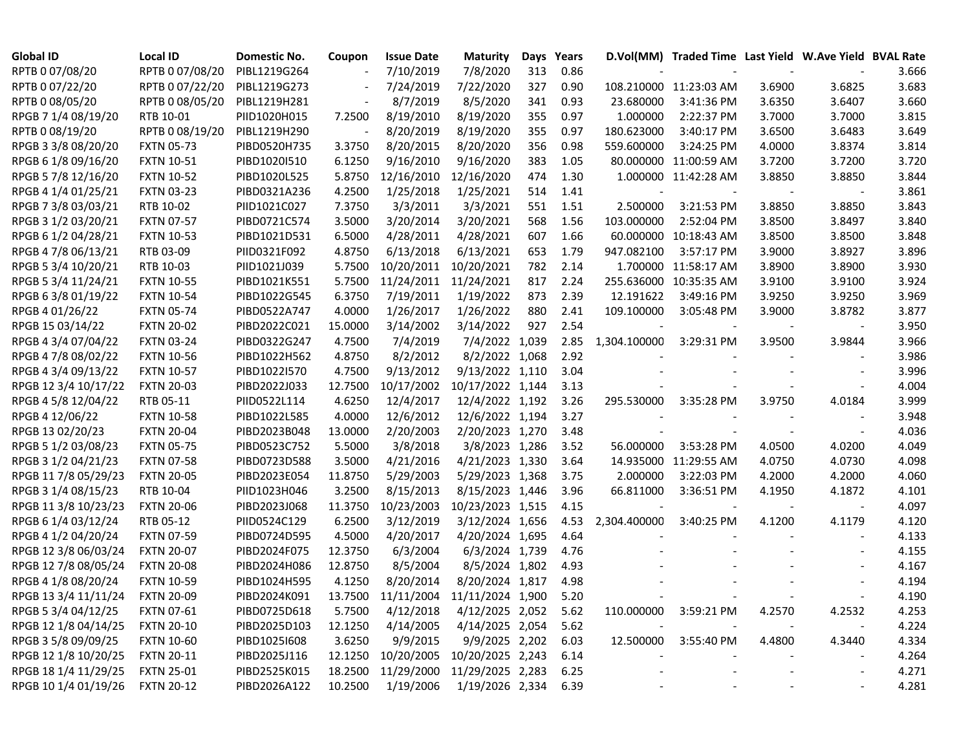| <b>Global ID</b>     | <b>Local ID</b>   | Domestic No. | Coupon  | <b>Issue Date</b> | <b>Maturity</b>                     | Days | Years |              | D.Vol(MM) Traded Time Last Yield W.Ave Yield BVAL Rate |        |                          |       |
|----------------------|-------------------|--------------|---------|-------------------|-------------------------------------|------|-------|--------------|--------------------------------------------------------|--------|--------------------------|-------|
| RPTB 0 07/08/20      | RPTB 0 07/08/20   | PIBL1219G264 |         | 7/10/2019         | 7/8/2020                            | 313  | 0.86  |              |                                                        |        |                          | 3.666 |
| RPTB 0 07/22/20      | RPTB 0 07/22/20   | PIBL1219G273 |         | 7/24/2019         | 7/22/2020                           | 327  | 0.90  |              | 108.210000 11:23:03 AM                                 | 3.6900 | 3.6825                   | 3.683 |
| RPTB 0 08/05/20      | RPTB 0 08/05/20   | PIBL1219H281 |         | 8/7/2019          | 8/5/2020                            | 341  | 0.93  | 23.680000    | 3:41:36 PM                                             | 3.6350 | 3.6407                   | 3.660 |
| RPGB 7 1/4 08/19/20  | RTB 10-01         | PIID1020H015 | 7.2500  | 8/19/2010         | 8/19/2020                           | 355  | 0.97  | 1.000000     | 2:22:37 PM                                             | 3.7000 | 3.7000                   | 3.815 |
| RPTB 0 08/19/20      | RPTB 0 08/19/20   | PIBL1219H290 |         | 8/20/2019         | 8/19/2020                           | 355  | 0.97  | 180.623000   | 3:40:17 PM                                             | 3.6500 | 3.6483                   | 3.649 |
| RPGB 3 3/8 08/20/20  | <b>FXTN 05-73</b> | PIBD0520H735 | 3.3750  | 8/20/2015         | 8/20/2020                           | 356  | 0.98  | 559.600000   | 3:24:25 PM                                             | 4.0000 | 3.8374                   | 3.814 |
| RPGB 6 1/8 09/16/20  | <b>FXTN 10-51</b> | PIBD1020I510 | 6.1250  | 9/16/2010         | 9/16/2020                           | 383  | 1.05  |              | 80.000000 11:00:59 AM                                  | 3.7200 | 3.7200                   | 3.720 |
| RPGB 5 7/8 12/16/20  | <b>FXTN 10-52</b> | PIBD1020L525 | 5.8750  | 12/16/2010        | 12/16/2020                          | 474  | 1.30  |              | 1.000000 11:42:28 AM                                   | 3.8850 | 3.8850                   | 3.844 |
| RPGB 4 1/4 01/25/21  | <b>FXTN 03-23</b> | PIBD0321A236 | 4.2500  | 1/25/2018         | 1/25/2021                           | 514  | 1.41  |              |                                                        |        |                          | 3.861 |
| RPGB 7 3/8 03/03/21  | RTB 10-02         | PIID1021C027 | 7.3750  | 3/3/2011          | 3/3/2021                            | 551  | 1.51  | 2.500000     | 3:21:53 PM                                             | 3.8850 | 3.8850                   | 3.843 |
| RPGB 3 1/2 03/20/21  | <b>FXTN 07-57</b> | PIBD0721C574 | 3.5000  | 3/20/2014         | 3/20/2021                           | 568  | 1.56  | 103.000000   | 2:52:04 PM                                             | 3.8500 | 3.8497                   | 3.840 |
| RPGB 6 1/2 04/28/21  | <b>FXTN 10-53</b> | PIBD1021D531 | 6.5000  | 4/28/2011         | 4/28/2021                           | 607  | 1.66  |              | 60.000000 10:18:43 AM                                  | 3.8500 | 3.8500                   | 3.848 |
| RPGB 4 7/8 06/13/21  | RTB 03-09         | PIID0321F092 | 4.8750  | 6/13/2018         | 6/13/2021                           | 653  | 1.79  | 947.082100   | 3:57:17 PM                                             | 3.9000 | 3.8927                   | 3.896 |
| RPGB 5 3/4 10/20/21  | RTB 10-03         | PIID1021J039 | 5.7500  | 10/20/2011        | 10/20/2021                          | 782  | 2.14  |              | 1.700000 11:58:17 AM                                   | 3.8900 | 3.8900                   | 3.930 |
| RPGB 5 3/4 11/24/21  | <b>FXTN 10-55</b> | PIBD1021K551 | 5.7500  | 11/24/2011        | 11/24/2021                          | 817  | 2.24  |              | 255.636000 10:35:35 AM                                 | 3.9100 | 3.9100                   | 3.924 |
| RPGB 63/8 01/19/22   | <b>FXTN 10-54</b> | PIBD1022G545 | 6.3750  | 7/19/2011         | 1/19/2022                           | 873  | 2.39  | 12.191622    | 3:49:16 PM                                             | 3.9250 | 3.9250                   | 3.969 |
| RPGB 4 01/26/22      | <b>FXTN 05-74</b> | PIBD0522A747 | 4.0000  | 1/26/2017         | 1/26/2022                           | 880  | 2.41  | 109.100000   | 3:05:48 PM                                             | 3.9000 | 3.8782                   | 3.877 |
| RPGB 15 03/14/22     | <b>FXTN 20-02</b> | PIBD2022C021 | 15.0000 | 3/14/2002         | 3/14/2022                           | 927  | 2.54  |              |                                                        |        |                          | 3.950 |
| RPGB 4 3/4 07/04/22  | <b>FXTN 03-24</b> | PIBD0322G247 | 4.7500  | 7/4/2019          | 7/4/2022 1,039                      |      | 2.85  | 1,304.100000 | 3:29:31 PM                                             | 3.9500 | 3.9844                   | 3.966 |
| RPGB 4 7/8 08/02/22  | <b>FXTN 10-56</b> | PIBD1022H562 | 4.8750  | 8/2/2012          | 8/2/2022 1,068                      |      | 2.92  |              |                                                        |        |                          | 3.986 |
| RPGB 4 3/4 09/13/22  | <b>FXTN 10-57</b> | PIBD1022I570 | 4.7500  | 9/13/2012         | 9/13/2022 1,110                     |      | 3.04  |              |                                                        |        |                          | 3.996 |
| RPGB 12 3/4 10/17/22 | <b>FXTN 20-03</b> | PIBD2022J033 | 12.7500 | 10/17/2002        | 10/17/2022 1,144                    |      | 3.13  |              |                                                        |        |                          | 4.004 |
| RPGB 4 5/8 12/04/22  | RTB 05-11         | PIID0522L114 | 4.6250  | 12/4/2017         | 12/4/2022 1,192                     |      | 3.26  | 295.530000   | 3:35:28 PM                                             | 3.9750 | 4.0184                   | 3.999 |
| RPGB 4 12/06/22      | <b>FXTN 10-58</b> | PIBD1022L585 | 4.0000  | 12/6/2012         | 12/6/2022 1,194                     |      | 3.27  |              |                                                        |        |                          | 3.948 |
| RPGB 13 02/20/23     | <b>FXTN 20-04</b> | PIBD2023B048 | 13.0000 | 2/20/2003         | 2/20/2023 1,270                     |      | 3.48  |              |                                                        |        |                          | 4.036 |
| RPGB 5 1/2 03/08/23  | <b>FXTN 05-75</b> | PIBD0523C752 | 5.5000  | 3/8/2018          | 3/8/2023 1,286                      |      | 3.52  | 56.000000    | 3:53:28 PM                                             | 4.0500 | 4.0200                   | 4.049 |
| RPGB 3 1/2 04/21/23  | <b>FXTN 07-58</b> | PIBD0723D588 | 3.5000  | 4/21/2016         | 4/21/2023 1,330                     |      | 3.64  |              | 14.935000 11:29:55 AM                                  | 4.0750 | 4.0730                   | 4.098 |
| RPGB 11 7/8 05/29/23 | <b>FXTN 20-05</b> | PIBD2023E054 | 11.8750 | 5/29/2003         | 5/29/2023 1,368                     |      | 3.75  | 2.000000     | 3:22:03 PM                                             | 4.2000 | 4.2000                   | 4.060 |
| RPGB 3 1/4 08/15/23  | RTB 10-04         | PIID1023H046 | 3.2500  | 8/15/2013         | 8/15/2023 1,446                     |      | 3.96  | 66.811000    | 3:36:51 PM                                             | 4.1950 | 4.1872                   | 4.101 |
| RPGB 11 3/8 10/23/23 | <b>FXTN 20-06</b> | PIBD2023J068 | 11.3750 | 10/23/2003        | 10/23/2023 1,515                    |      | 4.15  |              |                                                        |        |                          | 4.097 |
| RPGB 6 1/4 03/12/24  | RTB 05-12         | PIID0524C129 | 6.2500  | 3/12/2019         | 3/12/2024 1,656                     |      | 4.53  | 2,304.400000 | 3:40:25 PM                                             | 4.1200 | 4.1179                   | 4.120 |
| RPGB 4 1/2 04/20/24  | <b>FXTN 07-59</b> | PIBD0724D595 | 4.5000  | 4/20/2017         | 4/20/2024 1,695                     |      | 4.64  |              |                                                        |        |                          | 4.133 |
| RPGB 12 3/8 06/03/24 | <b>FXTN 20-07</b> | PIBD2024F075 | 12.3750 | 6/3/2004          | 6/3/2024 1,739                      |      | 4.76  |              |                                                        |        |                          | 4.155 |
| RPGB 12 7/8 08/05/24 | <b>FXTN 20-08</b> | PIBD2024H086 | 12.8750 | 8/5/2004          | 8/5/2024 1,802                      |      | 4.93  |              |                                                        |        |                          | 4.167 |
| RPGB 4 1/8 08/20/24  | <b>FXTN 10-59</b> | PIBD1024H595 | 4.1250  | 8/20/2014         | 8/20/2024 1,817                     |      | 4.98  |              |                                                        |        |                          | 4.194 |
| RPGB 13 3/4 11/11/24 | <b>FXTN 20-09</b> | PIBD2024K091 |         |                   | 13.7500 11/11/2004 11/11/2024 1,900 |      | 5.20  |              |                                                        |        |                          | 4.190 |
| RPGB 5 3/4 04/12/25  | <b>FXTN 07-61</b> | PIBD0725D618 | 5.7500  | 4/12/2018         | 4/12/2025 2,052                     |      | 5.62  | 110.000000   | 3:59:21 PM                                             | 4.2570 | 4.2532                   | 4.253 |
| RPGB 12 1/8 04/14/25 | <b>FXTN 20-10</b> | PIBD2025D103 | 12.1250 | 4/14/2005         | 4/14/2025 2,054                     |      | 5.62  |              |                                                        |        |                          | 4.224 |
| RPGB 3 5/8 09/09/25  | <b>FXTN 10-60</b> | PIBD10251608 | 3.6250  | 9/9/2015          | 9/9/2025 2,202                      |      | 6.03  | 12.500000    | 3:55:40 PM                                             | 4.4800 | 4.3440                   | 4.334 |
| RPGB 12 1/8 10/20/25 | <b>FXTN 20-11</b> | PIBD2025J116 | 12.1250 | 10/20/2005        | 10/20/2025 2,243                    |      | 6.14  |              |                                                        |        |                          | 4.264 |
| RPGB 18 1/4 11/29/25 | <b>FXTN 25-01</b> | PIBD2525K015 | 18.2500 | 11/29/2000        | 11/29/2025 2,283                    |      | 6.25  |              |                                                        |        | $\overline{\phantom{a}}$ | 4.271 |
| RPGB 10 1/4 01/19/26 | <b>FXTN 20-12</b> | PIBD2026A122 | 10.2500 | 1/19/2006         | 1/19/2026 2,334                     |      | 6.39  |              |                                                        |        |                          | 4.281 |